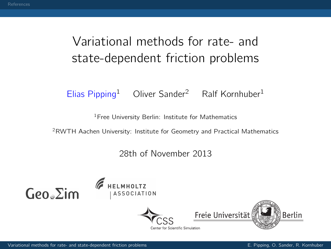## Variational methods for rate- and state-dependent friction problems

Elias Pipping<sup>1</sup> Oliver Sander<sup>2</sup> Ralf Kornhuber<sup>1</sup>

<sup>1</sup> Free University Berlin: Institute for Mathematics

<sup>2</sup>RWTH Aachen University: Institute for Geometry and Practical Mathematics

28th of November 2013







<span id="page-0-0"></span>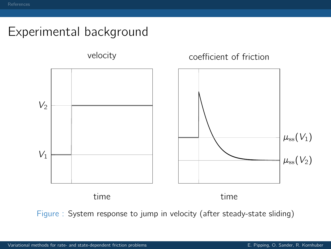## Experimental background



Figure : System response to jump in velocity (after steady-state sliding)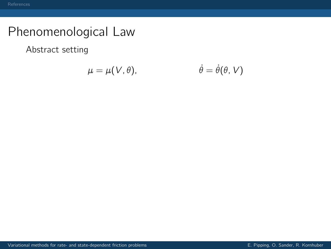Abstract setting

$$
\mu = \mu(V, \theta), \qquad \dot{\theta} = \dot{\theta}(\theta, V)
$$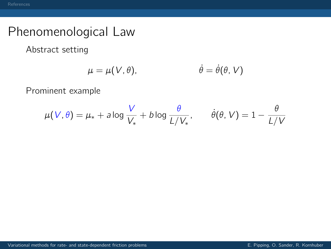Abstract setting

$$
\mu = \mu(V, \theta), \qquad \dot{\theta} = \dot{\theta}(\theta, V)
$$

Prominent example

$$
\mu(V,\theta) = \mu_* + a \log \frac{V}{V_*} + b \log \frac{\theta}{L/V_*}, \qquad \dot{\theta}(\theta,V) = 1 - \frac{\theta}{L/V}
$$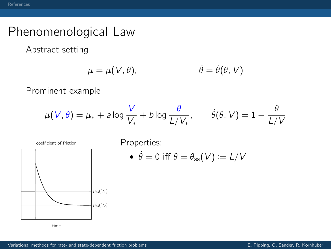Abstract setting

$$
\mu = \mu(V, \theta), \qquad \dot{\theta} = \dot{\theta}(\theta, V)
$$

Prominent example

$$
\mu(V,\theta) = \mu_* + a \log \frac{V}{V_*} + b \log \frac{\theta}{L/V_*}, \qquad \dot{\theta}(\theta,V) = 1 - \frac{\theta}{L/V}
$$



time

coefficient of friction Properties:

•  $\dot{\theta} = 0$  iff  $\theta = \theta_{\rm ss}(V) \coloneqq L/V$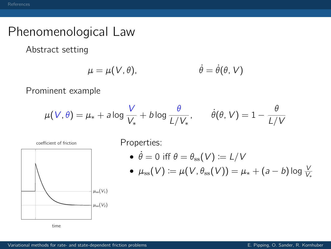Abstract setting

$$
\mu = \mu(V, \theta), \qquad \dot{\theta} = \dot{\theta}(\theta, V)
$$

Prominent example

$$
\mu(V,\theta) = \mu_* + a \log \frac{V}{V_*} + b \log \frac{\theta}{L/V_*}, \qquad \dot{\theta}(\theta,V) = 1 - \frac{\theta}{L/V}
$$



time

coefficient of friction Properties:

$$
\bullet\ \dot{\theta}=0\ \text{iff}\ \theta=\theta_{\text{ss}}(\mathcal{V})\coloneqq \mathcal{L}/\mathcal{V}
$$

• 
$$
\mu_{\text{ss}}(V) \coloneqq \mu(V, \theta_{\text{ss}}(V)) = \mu_* + (a - b) \log \frac{V}{V_*}
$$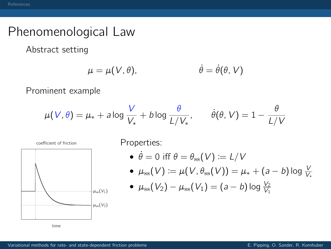Abstract setting

$$
\mu = \mu(V, \theta), \qquad \dot{\theta} = \dot{\theta}(\theta, V)
$$

Prominent example

$$
\mu(V,\theta) = \mu_* + a \log \frac{V}{V_*} + b \log \frac{\theta}{L/V_*}, \qquad \dot{\theta}(\theta,V) = 1 - \frac{\theta}{L/V}
$$



- $\dot{\theta} = 0$  iff  $\theta = \theta_{\rm ss}(V) \coloneqq L/V$
- $\bullet\;\; \mu_{\mathrm{ss}}(V)\coloneqq \mu(V,\theta_{\mathrm{ss}}(V))=\mu_*+(a-b)\log \frac{V}{V_*}$
- $\mu_{\rm ss}(V_2) \mu_{\rm ss}(V_1) = (a b) \log \frac{V_2}{V_1}$

time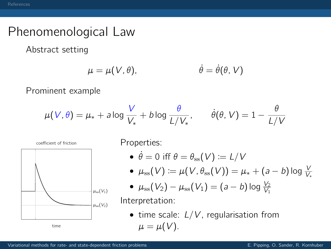Abstract setting

$$
\mu = \mu(V, \theta), \qquad \dot{\theta} = \dot{\theta}(\theta, V)
$$

Prominent example

$$
\mu(V,\theta) = \mu_* + a \log \frac{V}{V_*} + b \log \frac{\theta}{L/V_*}, \qquad \dot{\theta}(\theta,V) = 1 - \frac{\theta}{L/V}
$$



- $\dot{\theta} = 0$  iff  $\theta = \theta_{\rm ss}(V) \coloneqq L/V$
- $\bullet\;\; \mu_{\mathrm{ss}}(V)\coloneqq \mu(V,\theta_{\mathrm{ss}}(V))=\mu_*+(a-b)\log \frac{V}{V_*}$
- $\mu_{\rm ss}(V_2) \mu_{\rm ss}(V_1) = (a b) \log \frac{V_2}{V_1}$

Interpretation:

• time scale:  $L/V$ , regularisation from  $\mu = \mu(V)$ .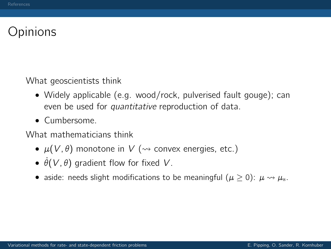## **Opinions**

What geoscientists think

- Widely applicable (e.g. wood/rock, pulverised fault gouge); can even be used for quantitative reproduction of data.
- Cumbersome.

What mathematicians think

- $\mu(V, \theta)$  monotone in V ( $\rightsquigarrow$  convex energies, etc.)
- $\dot{\theta}(V, \theta)$  gradient flow for fixed V.
- aside: needs slight modifications to be meaningful ( $\mu > 0$ ):  $\mu \rightsquigarrow \mu_s$ .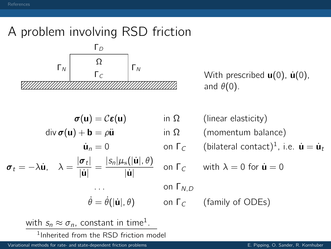# A problem involving RSD friction



 $\Gamma_c$   $\begin{bmatrix} 1 \end{bmatrix}^N$  With prescribed **u**(0), **u**(0), and  $\theta(0)$ .

$$
\sigma(\mathbf{u}) = \mathcal{C}\varepsilon(\mathbf{u}) \quad \text{in}
$$
\n
$$
\text{div}\,\sigma(\mathbf{u}) + \mathbf{b} = \rho\ddot{\mathbf{u}} \quad \text{in}
$$
\n
$$
\dot{\mathbf{u}}_n = 0 \quad \text{on}
$$
\n
$$
\sigma_t = -\lambda\dot{\mathbf{u}}, \quad \lambda = \frac{|\sigma_t|}{|\dot{\mathbf{u}}|} = \frac{|s_n|\mu_s(|\dot{\mathbf{u}}|, \theta)}{|\dot{\mathbf{u}}|} \quad \text{on}
$$
\n
$$
\dot{\theta} = \dot{\theta}(|\dot{\mathbf{u}}|, \theta) \quad \text{on}
$$

 $\Omega$  (linear elasticity)  $\Omega$  (momentum balance)  $\dot{\mathbf{u}}_n = 0$  on  $\mathsf{\Gamma}_\mathcal{C}$  (bilateral contact)<sup>1</sup>, i.e.  $\dot{\mathbf{u}} = \dot{\mathbf{u}}_t$  $\Gamma_c$  with  $\lambda = 0$  for  $\dot{\mathbf{u}} = 0$  $\Gamma_{N,D}$  $\Gamma$ <sub>C</sub> (family of ODEs)

with  $s_n \approx \sigma_n$ , constant in time<sup>1</sup>.

<sup>1</sup>Inherited from the RSD friction model

[Variational methods for rate- and state-dependent friction problems](#page-0-0) E. Pipping, O. Sander, R. Kornhuber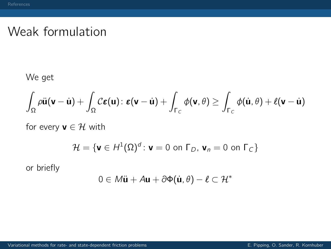### Weak formulation

We get

$$
\int_{\Omega} \rho \ddot{\mathbf{u}}(\mathbf{v} - \dot{\mathbf{u}}) + \int_{\Omega} C \boldsymbol{\varepsilon}(\mathbf{u}) \colon \boldsymbol{\varepsilon}(\mathbf{v} - \dot{\mathbf{u}}) + \int_{\Gamma_C} \phi(\mathbf{v}, \theta) \ge \int_{\Gamma_C} \phi(\dot{\mathbf{u}}, \theta) + \ell(\mathbf{v} - \dot{\mathbf{u}})
$$

for every  $\mathbf{v} \in \mathcal{H}$  with

$$
\mathcal{H} = \{ \mathbf{v} \in H^1(\Omega)^d : \mathbf{v} = 0 \text{ on } \Gamma_D, \mathbf{v}_n = 0 \text{ on } \Gamma_C \}
$$

or briefly

$$
0\in \textit{M\"{u}}+\textit{A}\textbf{u}+\partial\Phi(\dot{\textbf{u}},\theta)-\textit{\ell}\subset\mathcal{H}^*
$$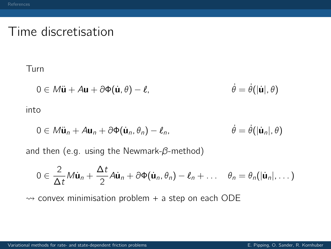### Time discretisation

#### Turn

$$
0 \in M\ddot{\mathbf{u}} + A\mathbf{u} + \partial \Phi(\dot{\mathbf{u}}, \theta) - \ell, \qquad \dot{\theta} = \dot{\theta}(|\dot{\mathbf{u}}|, \theta)
$$

into

$$
0 \in M\ddot{\mathbf{u}}_n + A\mathbf{u}_n + \partial \Phi(\dot{\mathbf{u}}_n, \theta_n) - \ell_n, \qquad \dot{\theta} = \dot{\theta}(|\dot{\mathbf{u}}_n|, \theta)
$$

and then (e.g. using the Newmark- $\beta$ -method)

$$
0\in \frac{2}{\Delta t}\mathcal{M}\dot{\mathbf{u}}_n+\frac{\Delta t}{2}\mathcal{A}\dot{\mathbf{u}}_n+\partial \Phi(\dot{\mathbf{u}}_n,\theta_n)-\boldsymbol{\ell}_n+\ldots \quad \theta_n=\theta_n(|\dot{\mathbf{u}}_n|,\ldots)
$$

 $\rightarrow$  convex minimisation problem + a step on each ODE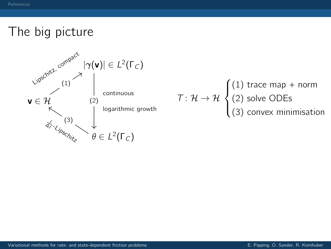

$$
T: \mathcal{H} \to \mathcal{H} \begin{cases} (1) \text{ trace map} + \text{norm} \\ (2) \text{ solve ODEs} \\ (3) \text{ convex minimisation} \end{cases}
$$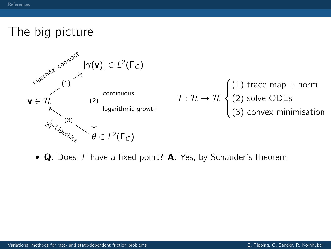

•  $\bf{Q}$ : Does T have a fixed point? **A**: Yes, by Schauder's theorem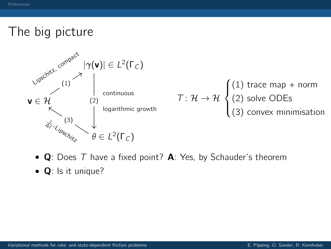

- $\bf{Q}$ : Does T have a fixed point? **A**: Yes, by Schauder's theorem
- **Q**: Is it unique?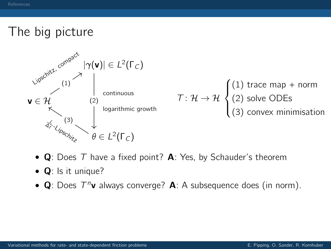

- $\bf{Q}$ : Does T have a fixed point? **A**: Yes, by Schauder's theorem
- **Q**: Is it unique?
- Q: Does  $T^n$ v always converge? A: A subsequence does (in norm).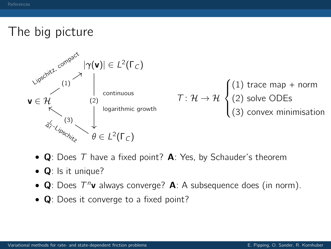

- $\bf{Q}$ : Does T have a fixed point? **A**: Yes, by Schauder's theorem
- **Q**: Is it unique?
- Q: Does  $T^n$ v always converge? A: A subsequence does (in norm).
- **Q**: Does it converge to a fixed point?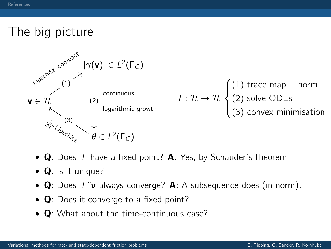

- $\bf{Q}$ : Does T have a fixed point? **A**: Yes, by Schauder's theorem
- **Q**: Is it unique?
- Q: Does  $T^n$ v always converge? A: A subsequence does (in norm).
- **Q**: Does it converge to a fixed point?
- **Q**: What about the time-continuous case?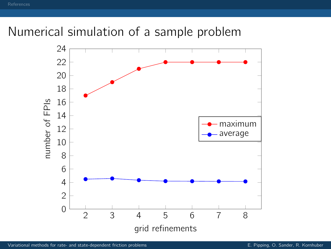## Numerical simulation of a sample problem

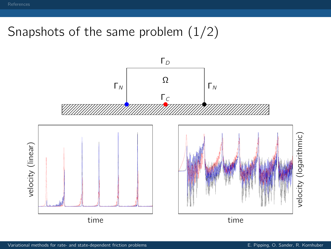# Snapshots of the same problem (1/2)

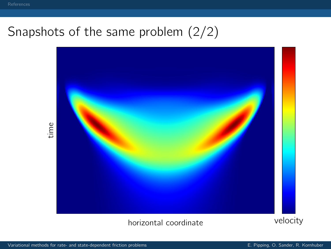## Snapshots of the same problem (2/2)